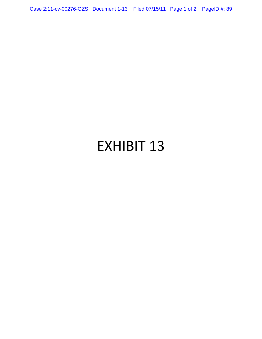Case 2:11-cv-00276-GZS Document 1-13 Filed 07/15/11 Page 1 of 2 PageID #: 89

# EXHIBIT 13